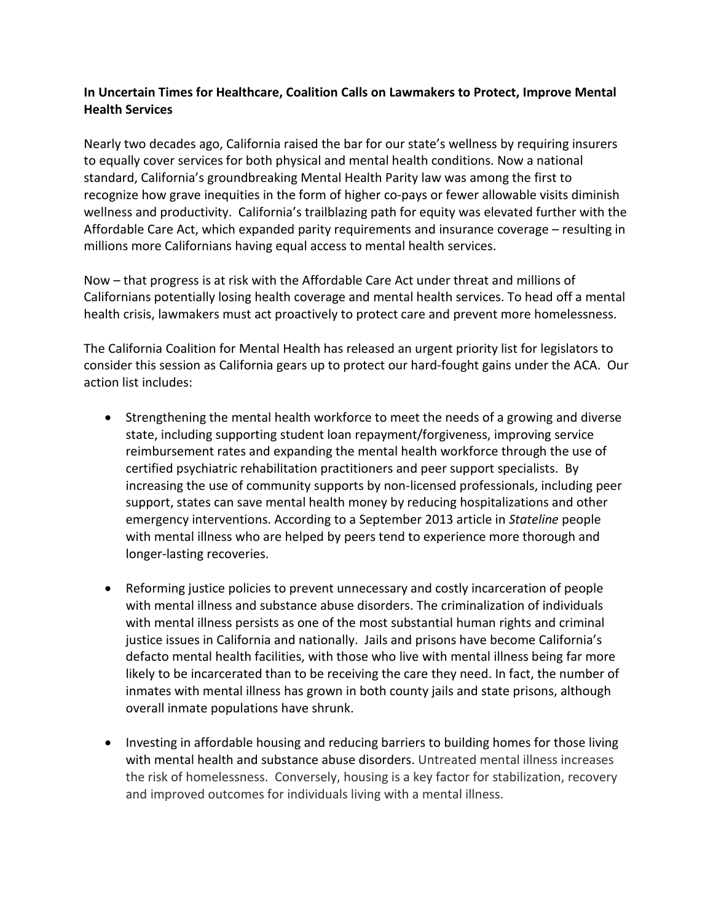## **In Uncertain Times for Healthcare, Coalition Calls on Lawmakers to Protect, Improve Mental Health Services**

Nearly two decades ago, California raised the bar for our state's wellness by requiring insurers to equally cover services for both physical and mental health conditions. Now a national standard, California's groundbreaking Mental Health Parity law was among the first to recognize how grave inequities in the form of higher co-pays or fewer allowable visits diminish wellness and productivity. California's trailblazing path for equity was elevated further with the Affordable Care Act, which expanded parity requirements and insurance coverage – resulting in millions more Californians having equal access to mental health services.

Now – that progress is at risk with the Affordable Care Act under threat and millions of Californians potentially losing health coverage and mental health services. To head off a mental health crisis, lawmakers must act proactively to protect care and prevent more homelessness.

The California Coalition for Mental Health has released an urgent priority list for legislators to consider this session as California gears up to protect our hard-fought gains under the ACA. Our action list includes:

- Strengthening the mental health workforce to meet the needs of a growing and diverse state, including supporting student loan repayment/forgiveness, improving service reimbursement rates and expanding the mental health workforce through the use of certified psychiatric rehabilitation practitioners and peer support specialists. By increasing the use of community supports by non-licensed professionals, including peer support, states can save mental health money by reducing hospitalizations and other emergency interventions. According to a September 2013 article in *Stateline* people with mental illness who are helped by peers tend to experience more thorough and longer-lasting recoveries.
- Reforming justice policies to prevent unnecessary and costly incarceration of people with mental illness and substance abuse disorders. The criminalization of individuals with mental illness persists as one of the most substantial human rights and criminal justice issues in California and nationally. Jails and prisons have become California's defacto mental health facilities, with those who live with mental illness being far more likely to be incarcerated than to be receiving the care they need. In fact, the number of inmates with mental illness has grown in both county jails and state prisons, although overall inmate populations have shrunk.
- Investing in affordable housing and reducing barriers to building homes for those living with mental health and substance abuse disorders. Untreated mental illness increases the risk of homelessness. Conversely, housing is a key factor for stabilization, recovery and improved outcomes for individuals living with a mental illness.